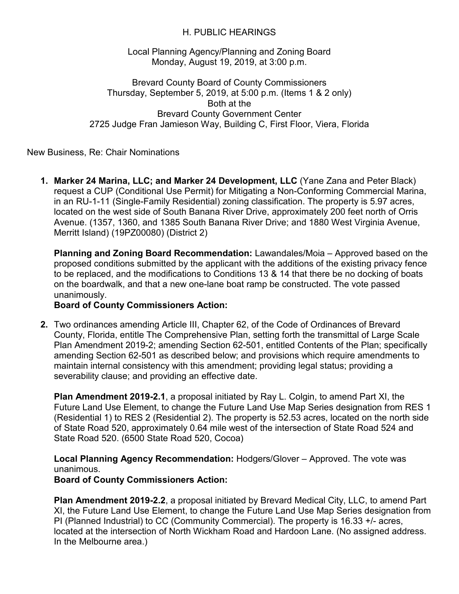## H. PUBLIC HEARINGS

Local Planning Agency/Planning and Zoning Board Monday, August 19, 2019, at 3:00 p.m.

Brevard County Board of County Commissioners Thursday, September 5, 2019, at 5:00 p.m. (Items 1 & 2 only) Both at the Brevard County Government Center 2725 Judge Fran Jamieson Way, Building C, First Floor, Viera, Florida

New Business, Re: Chair Nominations

**1. Marker 24 Marina, LLC; and Marker 24 Development, LLC** (Yane Zana and Peter Black) request a CUP (Conditional Use Permit) for Mitigating a Non-Conforming Commercial Marina, in an RU-1-11 (Single-Family Residential) zoning classification. The property is 5.97 acres, located on the west side of South Banana River Drive, approximately 200 feet north of Orris Avenue. (1357, 1360, and 1385 South Banana River Drive; and 1880 West Virginia Avenue, Merritt Island) (19PZ00080) (District 2)

**Planning and Zoning Board Recommendation:** Lawandales/Moia – Approved based on the proposed conditions submitted by the applicant with the additions of the existing privacy fence to be replaced, and the modifications to Conditions 13 & 14 that there be no docking of boats on the boardwalk, and that a new one-lane boat ramp be constructed. The vote passed unanimously.

## **Board of County Commissioners Action:**

**2.** Two ordinances amending Article III, Chapter 62, of the Code of Ordinances of Brevard County, Florida, entitle The Comprehensive Plan, setting forth the transmittal of Large Scale Plan Amendment 2019-2; amending Section 62-501, entitled Contents of the Plan; specifically amending Section 62-501 as described below; and provisions which require amendments to maintain internal consistency with this amendment; providing legal status; providing a severability clause; and providing an effective date.

**Plan Amendment 2019-2.1**, a proposal initiated by Ray L. Colgin, to amend Part XI, the Future Land Use Element, to change the Future Land Use Map Series designation from RES 1 (Residential 1) to RES 2 (Residential 2). The property is 52.53 acres, located on the north side of State Road 520, approximately 0.64 mile west of the intersection of State Road 524 and State Road 520. (6500 State Road 520, Cocoa)

**Local Planning Agency Recommendation:** Hodgers/Glover – Approved. The vote was unanimous.

**Board of County Commissioners Action:**

**Plan Amendment 2019-2.2**, a proposal initiated by Brevard Medical City, LLC, to amend Part XI, the Future Land Use Element, to change the Future Land Use Map Series designation from PI (Planned Industrial) to CC (Community Commercial). The property is 16.33 +/- acres, located at the intersection of North Wickham Road and Hardoon Lane. (No assigned address. In the Melbourne area.)